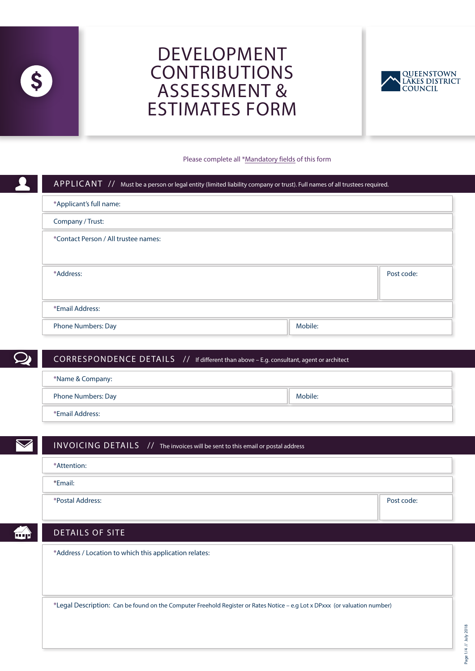

# DEVELOPMENT CONTRIBUTIONS ASSESSMENT & ESTIMATES FORM



#### Please complete all \*Mandatory fields of this form

| APPLICANT $\overline{11}$ Must be a person or legal entity (limited liability company or trust). Full names of all trustees required. |         |  |
|---------------------------------------------------------------------------------------------------------------------------------------|---------|--|
| *Applicant's full name:                                                                                                               |         |  |
| Company / Trust:                                                                                                                      |         |  |
| *Contact Person / All trustee names:                                                                                                  |         |  |
| *Address:                                                                                                                             |         |  |
| *Email Address:                                                                                                                       |         |  |
| <b>Phone Numbers: Day</b>                                                                                                             | Mobile: |  |

## CORRESPONDENCE DETAILS // If different than above – E.g. consultant, agent or architect

| *Name & Company:   |         |
|--------------------|---------|
| Phone Numbers: Day | Mobile: |
| *Email Address:    |         |

## INVOICING DETAILS // The invoices will be sent to this email or postal address

| *Attention: |  |  |
|-------------|--|--|
|             |  |  |
| *Email:     |  |  |
|             |  |  |
|             |  |  |

\*Postal Address: Post code:

m)

### DETAILS OF SITE

\*Address / Location to which this application relates:

\*Legal Description: Can be found on the Computer Freehold Register or Rates Notice – e.g Lot x DPxxx (or valuation number)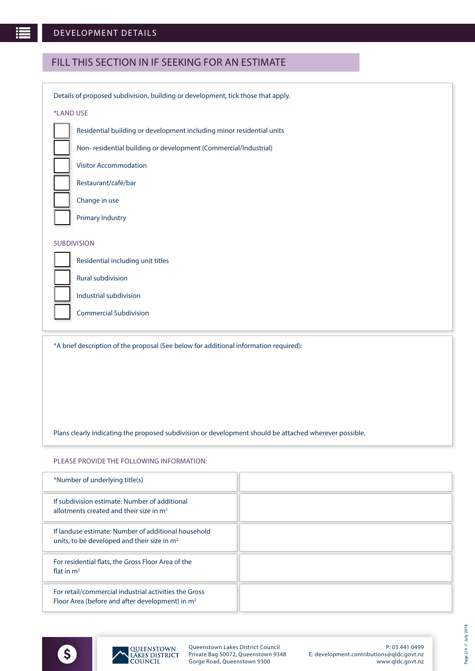# FILL THIS SECTION IN IF SEEKING FOR AN ESTIMATE

| Details of proposed subdivision, building or development, tick those that apply.      |  |  |
|---------------------------------------------------------------------------------------|--|--|
| *LAND USE                                                                             |  |  |
| Residential building or development including minor residential units                 |  |  |
| Non-residential building or development (Commercial/Industrial)                       |  |  |
| <b>Visitor Accommodation</b>                                                          |  |  |
| Restaurant/café/bar                                                                   |  |  |
| Change in use                                                                         |  |  |
| <b>Primary Industry</b>                                                               |  |  |
| <b>SUBDIVISION</b>                                                                    |  |  |
| Residential including unit titles                                                     |  |  |
| Rural subdivision                                                                     |  |  |
| Industrial subdivision                                                                |  |  |
| <b>Commercial Subdivision</b>                                                         |  |  |
| *A brief description of the proposal (See below for additional information required): |  |  |

Plans clearly indicating the proposed subdivision or development should be attached wherever possible.

#### PLEASE PROVIDE THE FOLLOWING INFORMATION:

| *Number of underlying title(s)                                                                             |  |
|------------------------------------------------------------------------------------------------------------|--|
| If subdivision estimate: Number of additional<br>allotments created and their size in $m2$                 |  |
| If landuse estimate: Number of additional household<br>units, to be developed and their size in $m2$       |  |
| For residential flats, the Gross Floor Area of the<br>flat in $m2$                                         |  |
| For retail/commercial industrial activities the Gross<br>Floor Area (before and after development) in $m2$ |  |

Page 2/4 // July 2018

Page 2/4 // July 2018



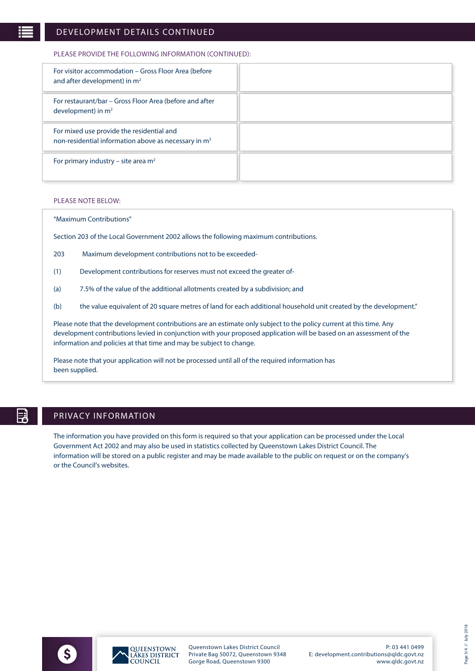### DEVELOPMENT DETAILS CONTINUED

#### PLEASE PROVIDE THE FOLLOWING INFORMATION (CONTINUED):

| For visitor accommodation – Gross Floor Area (before<br>and after development) in $m2$                        |  |
|---------------------------------------------------------------------------------------------------------------|--|
| For restaurant/bar – Gross Floor Area (before and after<br>development) in $m2$                               |  |
| For mixed use provide the residential and<br>non-residential information above as necessary in m <sup>2</sup> |  |
| For primary industry – site area $m2$                                                                         |  |

#### PLEASE NOTE BELOW:

#### "Maximum Contributions"

Section 203 of the Local Government 2002 allows the following maximum contributions.

- 203 Maximum development contributions not to be exceeded-
- (1) Development contributions for reserves must not exceed the greater of-
- (a) 7.5% of the value of the additional allotments created by a subdivision; and
- (b) the value equivalent of 20 square metres of land for each additional household unit created by the development."

Please note that the development contributions are an estimate only subject to the policy current at this time. Any development contributions levied in conjunction with your proposed application will be based on an assessment of the information and policies at that time and may be subject to change.

Please note that your application will not be processed until all of the required information has been supplied.

# F

## PRIVACY INFORMATION

The information you have provided on this form is required so that your application can be processed under the Local Government Act 2002 and may also be used in statistics collected by Queenstown Lakes District Council. The information will be stored on a public register and may be made available to the public on request or on the company's or the Council's websites.





Queenstown Lakes District Council Private Bag 50072, Queenstown 9348 Gorge Road, Queenstown 9300